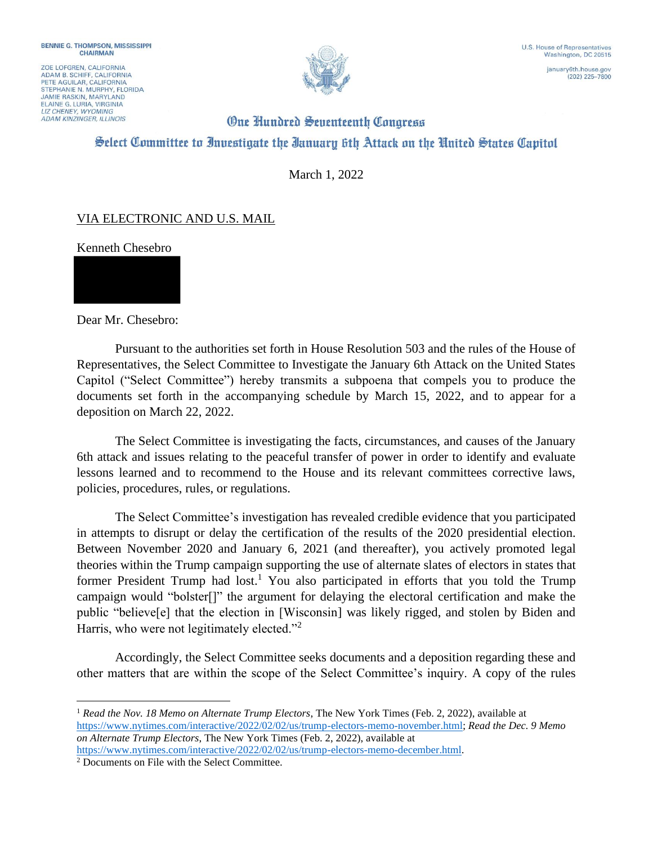ZOE LOFGREN, CALIFORNIA ADAM B. SCHIFF, CALIFORNIA<br>PETE AGUILAR, CALIFORNIA STEPHANIE N. MURPHY, FLORIDA **JAMIE RASKIN, MARYLAND** ELAINE G. LURIA, VIRGINIA **ADAM KINZINGER, ILLINOIS** 



 $(202)$  225-7800

## **One Hundred Seventeenth Congress** Select Committee to Investigate the Ianuary 6th Attack on the United States Capitol

March 1, 2022

## VIA ELECTRONIC AND U.S. MAIL

Kenneth Chesebro

Dear Mr. Chesebro:

Pursuant to the authorities set forth in House Resolution 503 and the rules of the House of Representatives, the Select Committee to Investigate the January 6th Attack on the United States Capitol ("Select Committee") hereby transmits a subpoena that compels you to produce the documents set forth in the accompanying schedule by March 15, 2022, and to appear for a deposition on March 22, 2022.

The Select Committee is investigating the facts, circumstances, and causes of the January 6th attack and issues relating to the peaceful transfer of power in order to identify and evaluate lessons learned and to recommend to the House and its relevant committees corrective laws, policies, procedures, rules, or regulations.

The Select Committee's investigation has revealed credible evidence that you participated in attempts to disrupt or delay the certification of the results of the 2020 presidential election. Between November 2020 and January 6, 2021 (and thereafter), you actively promoted legal theories within the Trump campaign supporting the use of alternate slates of electors in states that former President Trump had lost.<sup>1</sup> You also participated in efforts that you told the Trump campaign would "bolster[]" the argument for delaying the electoral certification and make the public "believe[e] that the election in [Wisconsin] was likely rigged, and stolen by Biden and Harris, who were not legitimately elected."<sup>2</sup>

Accordingly, the Select Committee seeks documents and a deposition regarding these and other matters that are within the scope of the Select Committee's inquiry. A copy of the rules

<sup>1</sup> *Read the Nov. 18 Memo on Alternate Trump Electors*, The New York Times (Feb. 2, 2022), available at https://www.nytimes.com/interactive/2022/02/02/us/trump-electors-memo-november.html; *Read the Dec. 9 Memo on Alternate Trump Electors*, The New York Times (Feb. 2, 2022), available at https://www.nytimes.com/interactive/2022/02/02/us/trump-electors-memo-december.html.

<sup>2</sup> Documents on File with the Select Committee.